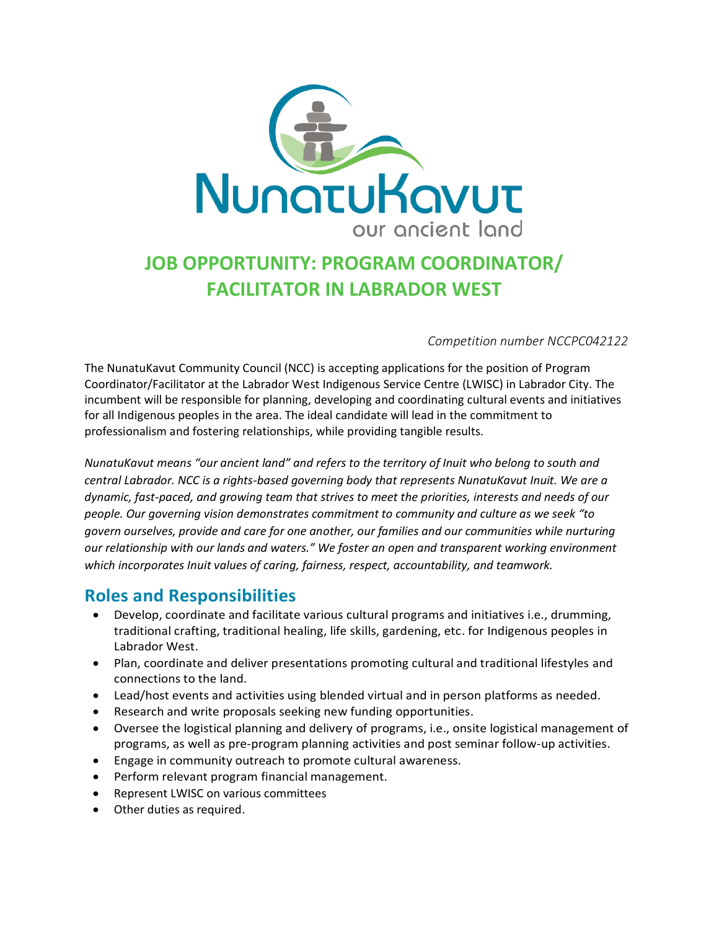

# **JOB OPPORTUNITY: PROGRAM COORDINATOR/ FACILITATOR IN LABRADOR WEST**

#### *Competition number NCCPC042122*

The NunatuKavut Community Council (NCC) is accepting applications for the position of Program Coordinator/Facilitator at the Labrador West Indigenous Service Centre (LWISC) in Labrador City. The incumbent will be responsible for planning, developing and coordinating cultural events and initiatives for all Indigenous peoples in the area. The ideal candidate will lead in the commitment to professionalism and fostering relationships, while providing tangible results.

*NunatuKavut means "our ancient land" and refers to the territory of Inuit who belong to south and central Labrador. NCC is a rights-based governing body that represents NunatuKavut Inuit. We are a dynamic, fast-paced, and growing team that strives to meet the priorities, interests and needs of our people. Our governing vision demonstrates commitment to community and culture as we seek "to govern ourselves, provide and care for one another, our families and our communities while nurturing our relationship with our lands and waters." We foster an open and transparent working environment which incorporates Inuit values of caring, fairness, respect, accountability, and teamwork.*

### **Roles and Responsibilities**

- Develop, coordinate and facilitate various cultural programs and initiatives i.e., drumming, traditional crafting, traditional healing, life skills, gardening, etc. for Indigenous peoples in Labrador West.
- Plan, coordinate and deliver presentations promoting cultural and traditional lifestyles and connections to the land.
- Lead/host events and activities using blended virtual and in person platforms as needed.
- Research and write proposals seeking new funding opportunities.
- Oversee the logistical planning and delivery of programs, i.e., onsite logistical management of programs, as well as pre-program planning activities and post seminar follow-up activities.
- Engage in community outreach to promote cultural awareness.
- Perform relevant program financial management.
- Represent LWISC on various committees
- Other duties as required.